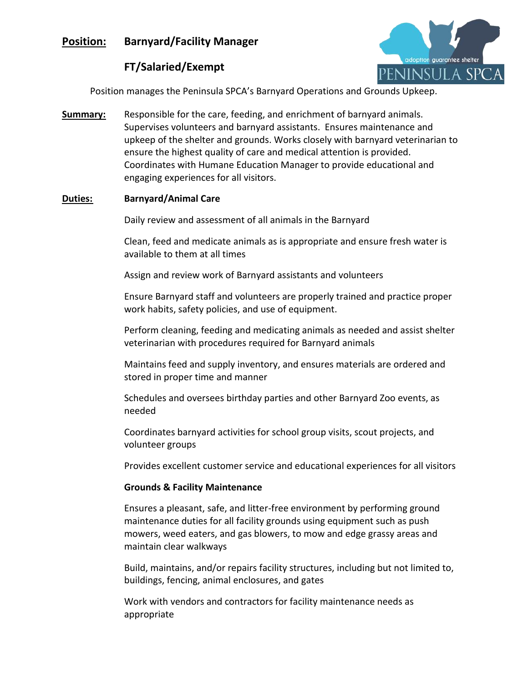# **Position: Barnyard/Facility Manager**



# **FT/Salaried/Exempt**

Position manages the Peninsula SPCA's Barnyard Operations and Grounds Upkeep.

**Summary:** Responsible for the care, feeding, and enrichment of barnyard animals. Supervises volunteers and barnyard assistants. Ensures maintenance and upkeep of the shelter and grounds. Works closely with barnyard veterinarian to ensure the highest quality of care and medical attention is provided. Coordinates with Humane Education Manager to provide educational and engaging experiences for all visitors.

## **Duties: Barnyard/Animal Care**

Daily review and assessment of all animals in the Barnyard

Clean, feed and medicate animals as is appropriate and ensure fresh water is available to them at all times

Assign and review work of Barnyard assistants and volunteers

Ensure Barnyard staff and volunteers are properly trained and practice proper work habits, safety policies, and use of equipment.

Perform cleaning, feeding and medicating animals as needed and assist shelter veterinarian with procedures required for Barnyard animals

Maintains feed and supply inventory, and ensures materials are ordered and stored in proper time and manner

Schedules and oversees birthday parties and other Barnyard Zoo events, as needed

Coordinates barnyard activities for school group visits, scout projects, and volunteer groups

Provides excellent customer service and educational experiences for all visitors

### **Grounds & Facility Maintenance**

Ensures a pleasant, safe, and litter-free environment by performing ground maintenance duties for all facility grounds using equipment such as push mowers, weed eaters, and gas blowers, to mow and edge grassy areas and maintain clear walkways

Build, maintains, and/or repairs facility structures, including but not limited to, buildings, fencing, animal enclosures, and gates

Work with vendors and contractors for facility maintenance needs as appropriate